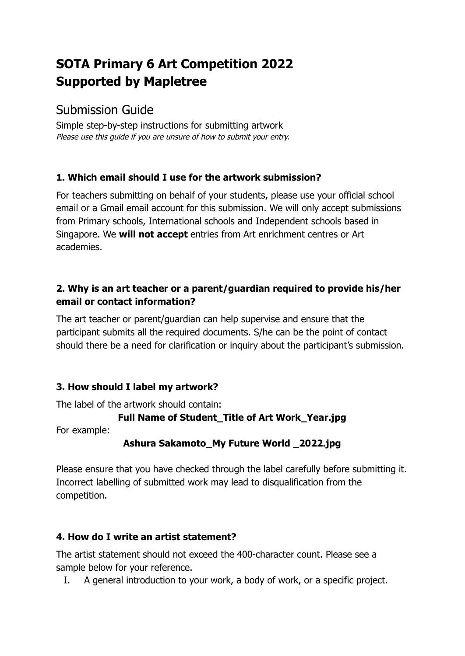# **SOTA Primary 6 Art Competition 2022 Supported by Mapletree**

## Submission Guide

Simple step-by-step instructions for submitting artwork Please use this guide if you are unsure of how to submit your entry.

### **1. Which email should I use for the artwork submission?**

For teachers submitting on behalf of your students, please use your official school email or a Gmail email account for this submission. We will only accept submissions from Primary schools, International schools and Independent schools based in Singapore. We **will not accept** entries from Art enrichment centres or Art academies.

#### **2. Why is an art teacher or a parent/guardian required to provide his/her email or contact information?**

The art teacher or parent/guardian can help supervise and ensure that the participant submits all the required documents. S/he can be the point of contact should there be a need for clarification or inquiry about the participant's submission.

### **3. How should I label my artwork?**

The label of the artwork should contain:

### **Full Name of Student\_Title of Art Work\_Year.jpg**

For example:

### **Ashura Sakamoto\_My Future World \_2022.jpg**

Please ensure that you have checked through the label carefully before submitting it. Incorrect labelling of submitted work may lead to disqualification from the competition.

### **4. How do I write an artist statement?**

The artist statement should not exceed the 400-character count. Please see a sample below for your reference.

I. A general introduction to your work, a body of work, or a specific project.